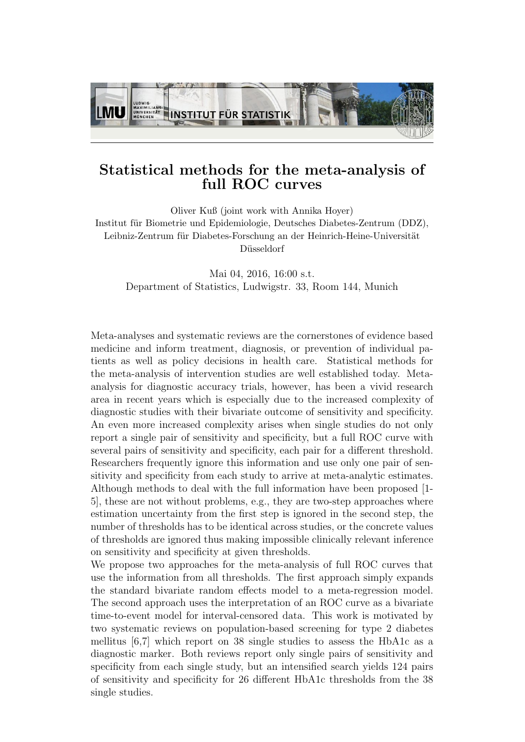

## Statistical methods for the meta-analysis of full ROC curves

Oliver Kuß (joint work with Annika Hoyer) Institut für Biometrie und Epidemiologie, Deutsches Diabetes-Zentrum (DDZ), Leibniz-Zentrum für Diabetes-Forschung an der Heinrich-Heine-Universität Düsseldorf

Mai 04, 2016, 16:00 s.t. Department of Statistics, Ludwigstr. 33, Room 144, Munich

Meta-analyses and systematic reviews are the cornerstones of evidence based medicine and inform treatment, diagnosis, or prevention of individual patients as well as policy decisions in health care. Statistical methods for the meta-analysis of intervention studies are well established today. Metaanalysis for diagnostic accuracy trials, however, has been a vivid research area in recent years which is especially due to the increased complexity of diagnostic studies with their bivariate outcome of sensitivity and specificity. An even more increased complexity arises when single studies do not only report a single pair of sensitivity and specificity, but a full ROC curve with several pairs of sensitivity and specificity, each pair for a different threshold. Researchers frequently ignore this information and use only one pair of sensitivity and specificity from each study to arrive at meta-analytic estimates. Although methods to deal with the full information have been proposed [1- 5], these are not without problems, e.g., they are two-step approaches where estimation uncertainty from the first step is ignored in the second step, the number of thresholds has to be identical across studies, or the concrete values of thresholds are ignored thus making impossible clinically relevant inference on sensitivity and specificity at given thresholds.

We propose two approaches for the meta-analysis of full ROC curves that use the information from all thresholds. The first approach simply expands the standard bivariate random effects model to a meta-regression model. The second approach uses the interpretation of an ROC curve as a bivariate time-to-event model for interval-censored data. This work is motivated by two systematic reviews on population-based screening for type 2 diabetes mellitus [6,7] which report on 38 single studies to assess the HbA1c as a diagnostic marker. Both reviews report only single pairs of sensitivity and specificity from each single study, but an intensified search yields 124 pairs of sensitivity and specificity for 26 different HbA1c thresholds from the 38 single studies.